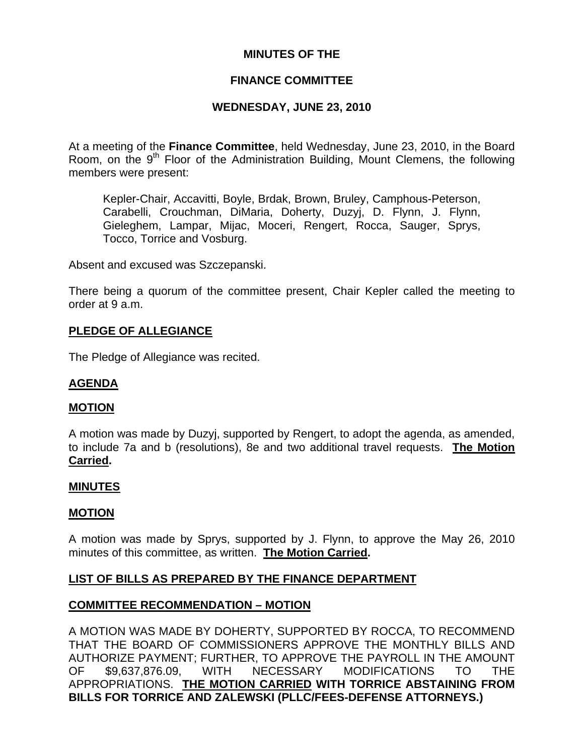# **MINUTES OF THE**

# **FINANCE COMMITTEE**

# **WEDNESDAY, JUNE 23, 2010**

At a meeting of the **Finance Committee**, held Wednesday, June 23, 2010, in the Board Room, on the  $9<sup>th</sup>$  Floor of the Administration Building, Mount Clemens, the following members were present:

Kepler-Chair, Accavitti, Boyle, Brdak, Brown, Bruley, Camphous-Peterson, Carabelli, Crouchman, DiMaria, Doherty, Duzyj, D. Flynn, J. Flynn, Gieleghem, Lampar, Mijac, Moceri, Rengert, Rocca, Sauger, Sprys, Tocco, Torrice and Vosburg.

Absent and excused was Szczepanski.

There being a quorum of the committee present, Chair Kepler called the meeting to order at 9 a.m.

### **PLEDGE OF ALLEGIANCE**

The Pledge of Allegiance was recited.

### **AGENDA**

#### **MOTION**

A motion was made by Duzyj, supported by Rengert, to adopt the agenda, as amended, to include 7a and b (resolutions), 8e and two additional travel requests. **The Motion Carried.** 

#### **MINUTES**

#### **MOTION**

A motion was made by Sprys, supported by J. Flynn, to approve the May 26, 2010 minutes of this committee, as written. **The Motion Carried.** 

### **LIST OF BILLS AS PREPARED BY THE FINANCE DEPARTMENT**

### **COMMITTEE RECOMMENDATION – MOTION**

A MOTION WAS MADE BY DOHERTY, SUPPORTED BY ROCCA, TO RECOMMEND THAT THE BOARD OF COMMISSIONERS APPROVE THE MONTHLY BILLS AND AUTHORIZE PAYMENT; FURTHER, TO APPROVE THE PAYROLL IN THE AMOUNT OF \$9,637,876.09, WITH NECESSARY MODIFICATIONS TO THE APPROPRIATIONS. **THE MOTION CARRIED WITH TORRICE ABSTAINING FROM BILLS FOR TORRICE AND ZALEWSKI (PLLC/FEES-DEFENSE ATTORNEYS.)**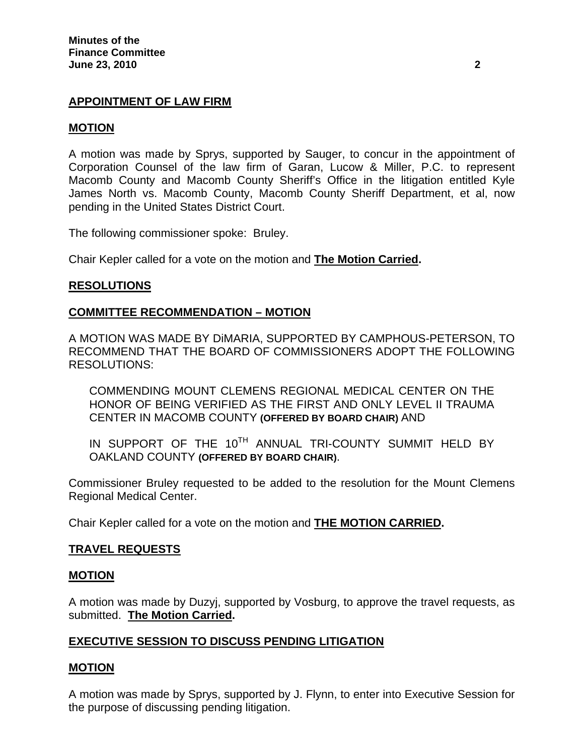# **APPOINTMENT OF LAW FIRM**

### **MOTION**

A motion was made by Sprys, supported by Sauger, to concur in the appointment of Corporation Counsel of the law firm of Garan, Lucow & Miller, P.C. to represent Macomb County and Macomb County Sheriff's Office in the litigation entitled Kyle James North vs. Macomb County, Macomb County Sheriff Department, et al, now pending in the United States District Court.

The following commissioner spoke: Bruley.

Chair Kepler called for a vote on the motion and **The Motion Carried.** 

### **RESOLUTIONS**

#### **COMMITTEE RECOMMENDATION – MOTION**

A MOTION WAS MADE BY DiMARIA, SUPPORTED BY CAMPHOUS-PETERSON, TO RECOMMEND THAT THE BOARD OF COMMISSIONERS ADOPT THE FOLLOWING RESOLUTIONS:

COMMENDING MOUNT CLEMENS REGIONAL MEDICAL CENTER ON THE HONOR OF BEING VERIFIED AS THE FIRST AND ONLY LEVEL II TRAUMA CENTER IN MACOMB COUNTY **(OFFERED BY BOARD CHAIR)** AND

IN SUPPORT OF THE 10<sup>TH</sup> ANNUAL TRI-COUNTY SUMMIT HELD BY OAKLAND COUNTY **(OFFERED BY BOARD CHAIR)**.

Commissioner Bruley requested to be added to the resolution for the Mount Clemens Regional Medical Center.

Chair Kepler called for a vote on the motion and **THE MOTION CARRIED.** 

### **TRAVEL REQUESTS**

#### **MOTION**

A motion was made by Duzyj, supported by Vosburg, to approve the travel requests, as submitted. **The Motion Carried.** 

# **EXECUTIVE SESSION TO DISCUSS PENDING LITIGATION**

### **MOTION**

A motion was made by Sprys, supported by J. Flynn, to enter into Executive Session for the purpose of discussing pending litigation.